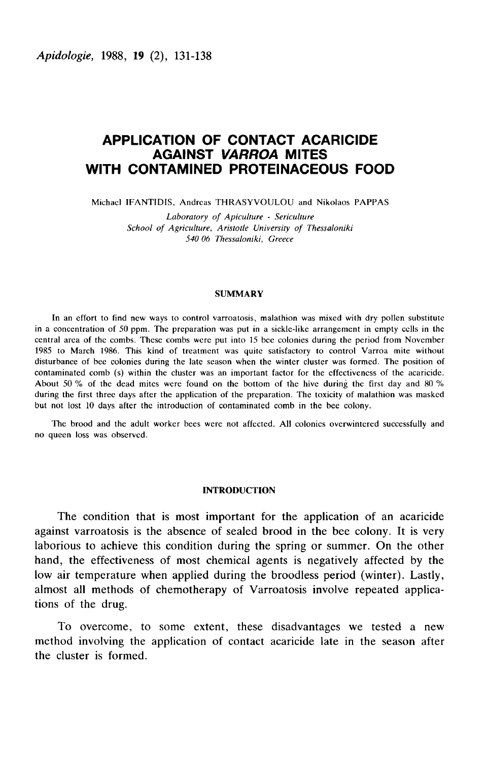# APPLICATION OF CONTACT ACARICIDE AGAINST VARROA MITES WITH CONTAMINED PROTEINACEOUS FOOD

Michael IFANTIDIS, Andreas THRASYVOULOU and Nikolaos PAPPAS

Laboratory of Apiculture - Sericulture School of Agriculture, Aristotle University of Thessaloniki 540 06 Thessaloniki, Greece

## **SUMMARY**

In an effort to find new ways to control varroatosis, malathion was mixed with dry pollen substitute in a concentration of 50 ppm. The preparation was put in a sickle-like arrangement in empty cells in the central area of the combs. These combs were put into 15 bee colonies during the period from November 1985 to March 1986. This kind of treatment was quite satisfactory to control Varroa mite without disturbance of bee colonies during the late season when the winter cluster was formed. The position of contaminated comb (s) within the cluster was an important factor for the effectiveness of the acaricide. About 50  $\%$  of the dead mites were found on the bottom of the hive during the first day and 80  $\%$ during the first three days after the application of the preparation. The toxicity of malathion was masked but not lost 10 days after the introduction of contaminated comb in the bee colony.

The brood and the adult worker bees were not affected. All colonies overwintered successfully and no queen loss was observed.

## INTRODUCTION

The condition that is most important for the application of an acaricide against varroatosis is the absence of sealed brood in the bee colony. It is very laborious to achieve this condition during the spring or summer. On the other hand, the effectiveness of most chemical agents is negatively affected by the low air temperature when applied during the broodless period (winter). Lastly, almost all methods of chemotherapy of Varroatosis involve repeated applications of the drug.

To overcome, to some extent, these disadvantages we tested a new method involving the application of contact acaricide late in the season after the cluster is formed.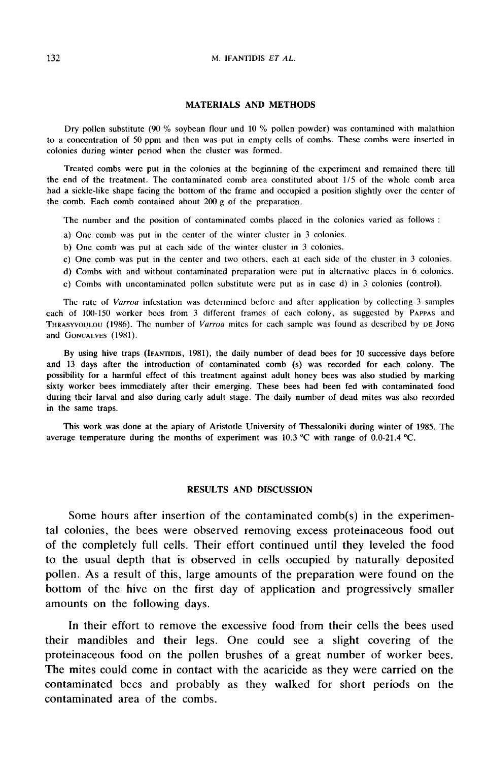### M. IFANTIDIS ET AL.

### MATERIALS AND METHODS

Dry pollen substitute (90 % soybean flour and 10 % pollen powder) was contamined with malathion to a concentration of 50 ppm and then was put in empty cells of combs. These combs were inserted in colonies during winter period when the cluster was formed.

Treated combs were put in the colonies at the beginning of the experiment and remained there till the end of the treatment. The contaminated comb area constituted about 1/5 of the whole comb area had a sickle-like shape facing the bottom of the frame and occupied a position slightly over the center of the comb. Each comb contained about 200 g of the preparation.

The number and the position of contaminated combs placed in the colonies varied as follows :

- a) One comb was put in the center of the winter cluster in 3 colonies.
- b) One comb was put at each side of the winter cluster in 3 colonies.
- c) One comb was put in the center and two others, each at each side of the cluster in 3 colonies.
- d) Combs with and without contaminated preparation were put in alternative places in 6 colonies.
- e) Combs with uncontaminated pollen substitute were put as in case d) in 3 colonies (control).

The rate of Varroa infestation was determined before and after application by collecting 3 samples each c) One cc<br>d) Combs<br>c) Combs<br>The rate<br>cach of 100-1<br>THRASYVOULOU<br>and Goncalve Combs with uncontaminated policin substitute were put as in case d) in 3 colonies (control).<br>
The rate of *Varroa* infestation was determined before and after application by collecting 3 samples<br>
of 100-150 worker bees fr The rate of *varroa* intestation was determined before and after application by concernig 3 samples<br>cach of 100-150 worker bees from 3 different frames of each colony, as suggested by PAPPAS and<br>THRASYVOULOU (1986). The nu e) Combs with une<br>The rate of *Varroc*<br>each of 100-150 worke<br>THRASYVOULOU (1986).<br>and GONCALVES (1981). Example 100-150 worker bees from 3 different frames of each colony, as suggested by PAPPAs and THRASYVOULOU (1986). The number of *Varroa* mites for each sample was found as described by DE JONG and GONCALVES (1981).<br>By us

possibility for a harmful effect of this treatment against adult honey bees was also studied by marking sixty worker bees immediately after their emerging. These bees had been fed with contaminated food during their larval and also during early adult stage. The daily number of dead mites was also recorded in the same traps.

This work was done at the apiary of Aristotle University of Thessaloniki during winter of 1985. The average temperature during the months of experiment was  $10.3 \degree C$  with range of 0.0-21.4  $\degree C$ .

## RESULTS AND DISCUSSION

Some hours after insertion of the contaminated comb(s) in the experimental colonies, the bees were observed removing excess proteinaceous food out of the completely full cells. Their effort continued until they leveled the food to the usual depth that is observed in cells occupied by naturally deposited pollen. As a result of this, large amounts of the preparation were found on the bottom of the hive on the first day of application and progressively smaller amounts on the following days.

In their effort to remove the excessive food from their cells the bees used their mandibles and their legs. One could see a slight covering of the proteinaceous food on the pollen brushes of a great number of worker bees. The mites could come in contact with the acaricide as they were carried on the contaminated bees and probably as they walked for short periods on the contaminated area of the combs.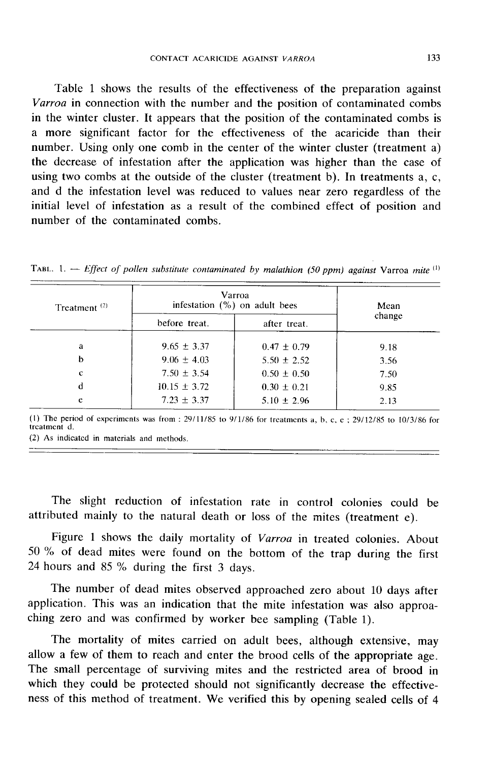Table 1 shows the results of the effectiveness of the preparation against Varroa in connection with the number and the position of contaminated combs in the winter cluster. It appears that the position of the contaminated combs is a more significant factor for the effectiveness of the acaricide than their number. Using only one comb in the center of the winter cluster (treatment a) the decrease of infestation after the application was higher than the case of using two combs at the outside of the cluster (treatment b). In treatments a, c, and d the infestation level was reduced to values near zero regardless of the initial level of infestation as a result of the combined effect of position and number of the contaminated combs.

| Treatment $(2)$ | Varroa<br>infestation $(\% )$ on adult bees |                 | Mean   |
|-----------------|---------------------------------------------|-----------------|--------|
|                 | before treat.                               | after treat.    | change |
| a               | $9.65 \pm 3.37$                             | $0.47 \pm 0.79$ | 9.18   |
| b               | $9.06 \pm 4.03$                             | $5.50 \pm 2.52$ | 3.56   |
| c               | $7.50 \pm 3.54$                             | $0.50 \pm 0.50$ | 7.50   |
| d               | $10.15 \pm 3.72$                            | $0.30 \pm 0.21$ | 9.85   |
| e               | $7.23 \pm 3.37$                             | $5.10 \pm 2.96$ | 2.13   |

TABL. 1. — Effect of pollen substitute contaminated by malathion (50 ppm) against Varroa mite  $(1)$ 

(1) The period of experiments was from :  $29/11/85$  to  $9/1/86$  for treatments a, b, c, e ;  $29/12/85$  to  $10/3/86$  for treatment d

(2) As indicated in materials and methods.

The slight reduction of infestation rate in control colonies could be attributed mainly to the natural death or loss of the mites (treatment e).

Figure 1 shows the daily mortality of *Varroa* in treated colonies. About 50 % of dead mites were found on the bottom of the trap during the first 24 hours and 85 % during the first 3 days.

The number of dead mites observed approached zero about 10 days after application. This was an indication that the mite infestation was also approaching zero and was confirmed by worker bee sampling (Table 1).

The mortality of mites carried on adult bees, although extensive, may allow a few of them to reach and enter the brood cells of the appropriate age. The small percentage of surviving mites and the restricted area of brood in which they could be protected should not significantly decrease the effectiveness of this method of treatment. We verified this by opening sealed cells of 4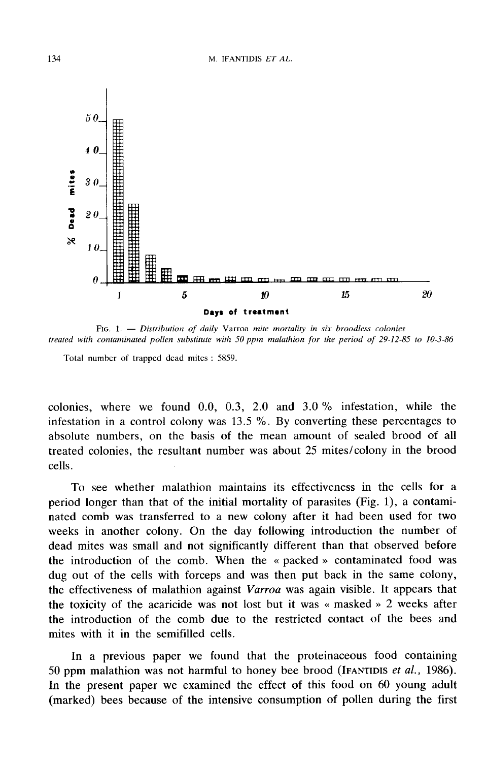

FIG. 1.  $-$  Distribution of daily Varroa mite mortality in six broodless colonies treated with contaminated pollen substitute with 50 ppm malathion for the period of 29-12-85 to 10-3-86

Total number of trapped dead mites : 5859.

colonies, where we found 0.0, 0.3, 2.0 and 3.0 % infestation, while the infestation in a control colony was 13.5 %. By converting these percentages to absolute numbers, on the basis of the mean amount of sealed brood of all treated colonies, the resultant number was about 25 mites/colony in the brood cells.

To see whether malathion maintains its effectiveness in the cells for a period longer than that of the initial mortality of parasites (Fig. 1), a contaminated comb was transferred to a new colony after it had been used for two weeks in another colony. On the day following introduction the number of dead mites was small and not significantly different than that observed before the introduction of the comb. When the « packed » contaminated food was dug out of the cells with forceps and was then put back in the same colony, the effectiveness of malathion against Varroa was again visible. It appears that the toxicity of the acaricide was not lost but it was « masked » 2 weeks after the introduction of the comb due to the restricted contact of the bees and mites with it in the semifilled cells.

In a previous paper we found that the proteinaceous food containing<br>50 ppm malathion was not harmful to honey bee brood (IFANTIDIS *et al.*, 1986). In the present paper we examined the effect of this food on 60 young adult (marked) bees because of the intensive consumption of pollen during the first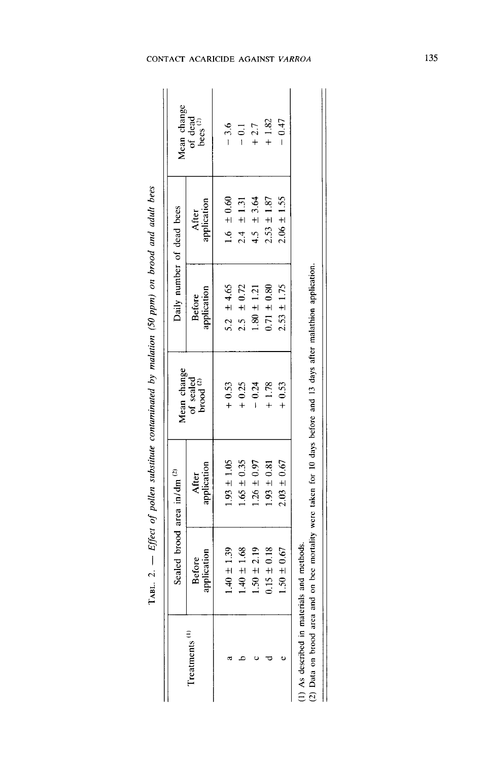|                                                                         |                              | Sealed brood area in/dm <sup>(2)</sup> | Mean change                                                                             | Daily number of dead bees    |                      | Mean change              |
|-------------------------------------------------------------------------|------------------------------|----------------------------------------|-----------------------------------------------------------------------------------------|------------------------------|----------------------|--------------------------|
| $T$ reatments $(1)$                                                     | application<br><b>Before</b> | application<br>After                   | of sealed<br>brood $(2)$                                                                | application<br><b>Before</b> | After<br>application | of dead<br>bees $^{(2)}$ |
|                                                                         | $1.40 \pm 1.39$              | $1.93 \pm 1.05$                        | $+0.53$                                                                                 | 5.2 $\pm 4.65$               | $1.6 \pm 0.60$       | $-3.6$                   |
|                                                                         | $1.40 \pm 1.68$              | $1.65 \pm 0.35$                        | $+0.25$                                                                                 | $2.5 \pm 0.72$               | $2.4 \pm 1.31$       | $-0.1$                   |
|                                                                         | $1.50 \pm 2.19$              | $1.26 \pm 0.97$                        | $-0.24$                                                                                 | $1.80 \pm 1.21$              | $4.5 \pm 3.64$       | $+2.7$                   |
|                                                                         | $0.15 \pm 0.18$              | $1.93 \pm 0.81$                        | $+1.78$                                                                                 | $0.71 \pm 0.80$              | $2.53 \pm 1.87$      | $+1.82$                  |
|                                                                         | $1.50 \pm 0.67$              | $2.03 \pm 0.67$                        | $+0.53$                                                                                 | $2.53 \pm 1.75$              | $2.06 \pm 1.55$      | $-0.47$                  |
| 1) As described in materials and methods.<br>(2) Data on brood area and |                              |                                        | on bee mortality were taken for 10 days before and 13 days after malathion application. |                              |                      |                          |

TABL. 2. - Effect of pollen substitute contaminated by malation (50 ppm) on brood and adult bees

Π

## CONTACT ACARICIDE AGAINST VARROA

135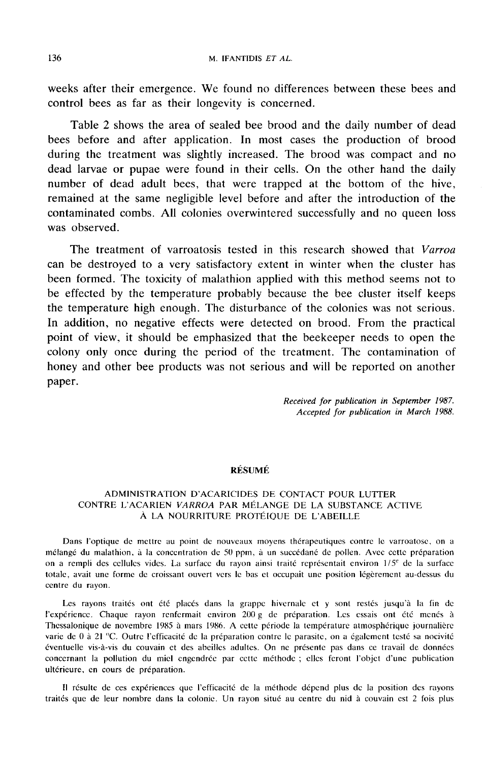weeks after their emergence. We found no differences between these bees and control bees as far as their longevity is concerned.

Table 2 shows the area of sealed bee brood and the daily number of dead bees before and after application. In most cases the production of brood during the treatment was slightly increased. The brood was compact and no dead larvae or pupae were found in their cells. On the other hand the daily number of dead adult bees, that were trapped at the bottom of the hive, remained at the same negligible level before and after the introduction of the contaminated combs. All colonies overwintered successfully and no queen loss was observed.

The treatment of varroatosis tested in this research showed that Varroa can be destroyed to a very satisfactory extent in winter when the cluster has been formed. The toxicity of malathion applied with this method seems not to be effected by the temperature probably because the bee cluster itself keeps the temperature high enough. The disturbance of the colonies was not serious. In addition, no negative effects were detected on brood. From the practical point of view, it should be emphasized that the beekeeper needs to open the colony only once during the period of the treatment. The contamination of honey and other bee products was not serious and will be reported on another paper.

> Received for publication in September 1987. Accepted for publication in March 1988.

## RÉSUMÉ

## ADMINISTRATION D'ACARICIDES DE CONTACT POUR LUTTER CONTRE L'ACARIEN VARROA PAR MÉLANGE DE LA SUBSTANCE ACTIVE À LA NOURRITURE PROTÉIQUE DE L'ABEILLE

Dans l'optique de mettre au point de nouveaux moyens thérapeutiques contre le varroatose, on a mélangé du malathion, à la concentration de 50 ppm, à un succédané de pollen. Avec cette préparation on a rempli des cellules vides. La surface du rayon ainsi traité représentait environ 1/5<sup>e</sup> de la surface totale, avait une forme de croissant ouvert vers le bas et occupait une position légèrement au-dessus du centre du rayon.

Les rayons traités ont été placés dans la grappe hivernale et y sont restés jusqu'à la fin de l'expérience. Chaque rayon renfermait environ 200 g de préparation. Les essais ont été menés à Thessalonique de novembre 1985 à mars 1986. A cette période la température atmosphérique journalière varie de 0 à 21 °C. Outre l'efficacité de la préparation contre le parasite, on a également testé sa nocivité éventuelle vis-à-vis du couvain et des abeilles adultes. On ne présente pas dans ce travail de données concernant la pollution du miel engendrée par cette méthode ; ellcs feront l'objet d'une publication ultérieure, en cours de préparation.

Il résulte de ces expériences que l'efficacité de la méthode dépend plus de la position des rayons traités que de leur nombre dans la colonie. Un rayon situé au centre du nid à couvain est 2 fois plus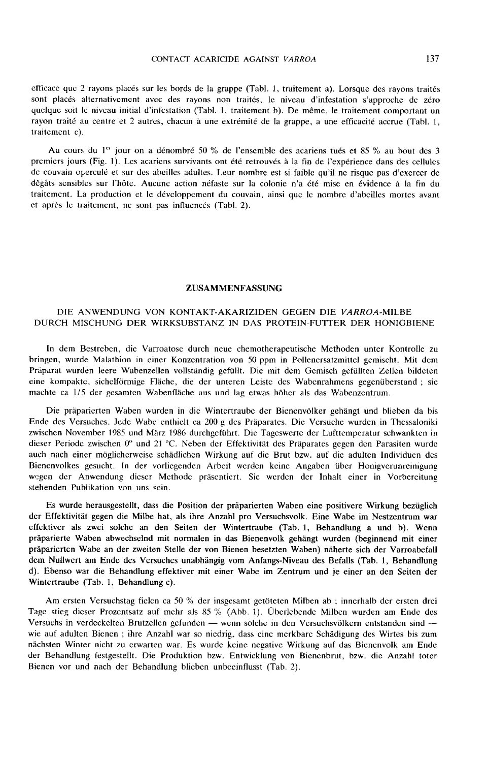#### CONTACT ACARICIDE AGAINST VARROA

efficace que 2 rayons placés sur les bords de la grappe (Tabl. 1, traitement a). Lorsque des rayons traités sont placés alternativement avec des rayons non traités, le niveau d'infestation s'approche de zéro quelque soit le niveau initial d'infestation (Tabl. 1, traitement b). De même, le traitement comportant un rayon traité au centre et 2 autres, chacun à une extrémité de la grappe, a une efficacité accrue (Tabl. 1, traitement c).

Au cours du 1<sup>er</sup> jour on a dénombré 50 % de l'ensemble des acariens tués et 85 % au bout des 3 premiers jours (Fig. 1). Les acariens survivants ont été retrouvés à la fin de l'expérience dans des cellules Au cours du 1<sup>er</sup> jour on a dénombré 50 % de l'ensemble des acariens tués et 85 % au bout des 3<br>premiers jours (Fig. 1). Les acariens survivants ont été retrouvés à la fin de l'expérience dans des cellules<br>de couvain operc dégâts sensibles sur l'hôte. Aucune action néfaste sur la colonie n'a été mise en évidence à la fin du traitement. La production et le développement du couvain, ainsi que le nombre d'abeilles mortes avant et après le traitement, ne sont pas influencés (Tabl. 2).

#### ZUSAMMENFASSUNG

## DIE ANWENDUNG VON KONTAKT-AKARIZIDEN GEGEN DIE VARROA-MILBE DURCH MISCHUNG DER WIRKSUBSTANZ IN DAS PROTEIN-FUTTER DER HONIGBIENE

In dem Bestreben, die Varroatosc durch neue chemotherapeutische Methoden unter Kontrolle zu bringen, wurde Malathion in einer Konzentration von 50 ppm in Pollenersatzmittel gemischt. Mit dem Präparat wurden leere Wabenzellen vollständig gefüllt. Die mit dem Gemisch gefüllten Zellen bildeten eine kompakte, sichelförmige Fläche, die der unteren Leiste des Wabenrahmens gegenüberstand ; sie machte ca 1/5 der gesamten Wabenfläche aus und lag etwas höher als das Wabenzentrum.

Die präparierten Waben wurden in die Wintcrtraube der Bienenvölker gehängt und blieben da bis Ende des Versuches. Jede Wabe enthielt ca 200 g des Präparates. Die Versuche wurden in Thessaloniki zwischen November 1985 und März 1986 durchgeführt. Die Tageswerte der Lufttemperatur schwankten in dieser Periode zwischen 0° und 21 °C. Neben der Effektivität des Präparates gegen den Parasiten wurde auch nach einer möglicherweise schädlichen Wirkung auf die Brut bzw. auf die adulten Individuen des Bienenvolkes gesucht. In der vorliegenden Arbeit werden keine Angaben über Honigverunreinigung wegen der Anwendung dieser Methode präsentiert. Sie werden der Inhalt einer in Vorbereitung stehenden Publikation von uns sein.

Es wurde herausgestellt, dass die Position der präparierten Waben eine positivere Wirkung bezüglich der Effektivität gegen die Milbe hat, als ihre Anzahl pro Versuchsvolk. Eine Wabe im Nestzentrum war effektiver als zwei solche an den Seiten der Wintertraube (Tab. 1, Behandlung a und b). Wenn präparierte Waben abwechselnd mit normalen in das Bienenvolk gehängt wurden (beginnend mit einer präparierten Wabe an der zweiten Stelle der von Bienen besetzten Waben) näherte sich der Varroabefall dem Nullwert am Ende des Versuches unabhängig vom Anfangs-Niveau des Befalls (Tab. 1, Behandlung d). Ebenso war die Behandlung effektiver mit einer Wabe im Zentrum und je einer an den Seiten der Wintertraube (Tab. 1, Behandlung c).

Am ersten Versuchstag fielen ca 50 % der insgesamt getöteten Milben ab ; innerhalb der ersten drei Tage stieg dieser Prozentsatz auf mehr als 85 % (Abb. 1). Überlebende Milben wurden am Ende des Versuchs in verdeckelten Brutzellen gefunden — wenn solche in den Versuchsvölkern entstanden sind wie auf adulten Bienen ; ihre Anzahl war so niedrig, dass eine merkbare Schädigung des Wirtes bis zum nächsten Winter nicht zu erwarten war. Es wurde keine negative Wirkung auf das Bienenvolk am Ende der Behandlung festgestellt. Die Produktion bzw. Entwicklung von Bienenbrut, bzw. die Anzahl toter Bienen vor und nach der Behandlung blieben unbeeinflusst (Tab. 2).